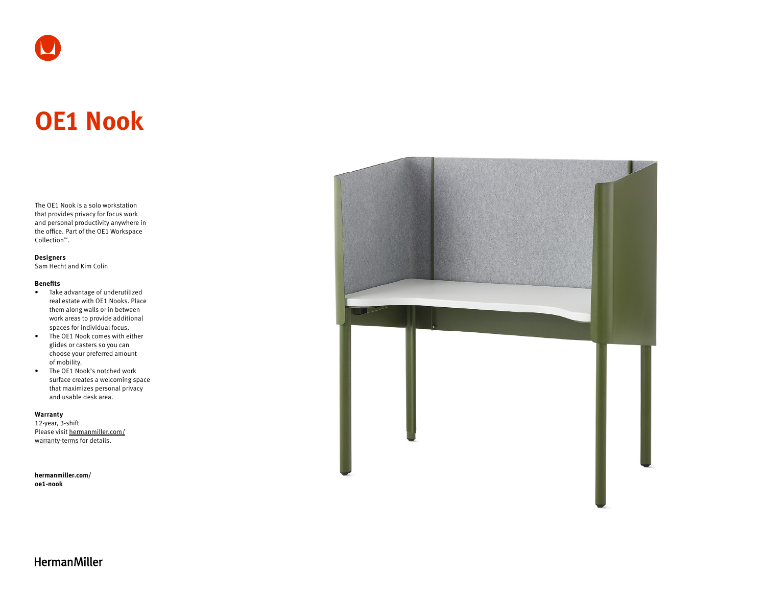# **OE1 Nook**

The OE1 Nook is a solo workstation that provides privacy for focus work and personal productivity anywhere in the office. Part of the OE1 Workspace Collection™.

#### **Designers**

Sam Hecht and Kim Colin

#### **Benefits**

- Take advantage of underutilized real estate with OE1 Nooks. Place them along walls or in between work areas to provide additional spaces for individual focus.
- The OE1 Nook comes with either glides or casters so you can choose your preferred amount of mobility.
- The OE1 Nook's notched work surface creates a welcoming space that maximizes personal privacy and usable desk area.

#### **Warranty**

12-year, 3-shift Please visit [hermanmiller.com/](https://hermanmiller.com/warranty-terms) [warranty-terms](https://hermanmiller.com/warranty-terms) for details.

**[hermanmiller.com/](https://hermanmiller.com/oe1-nook) [oe1-n](https://hermanmiller.com/oe1-nook)ook**